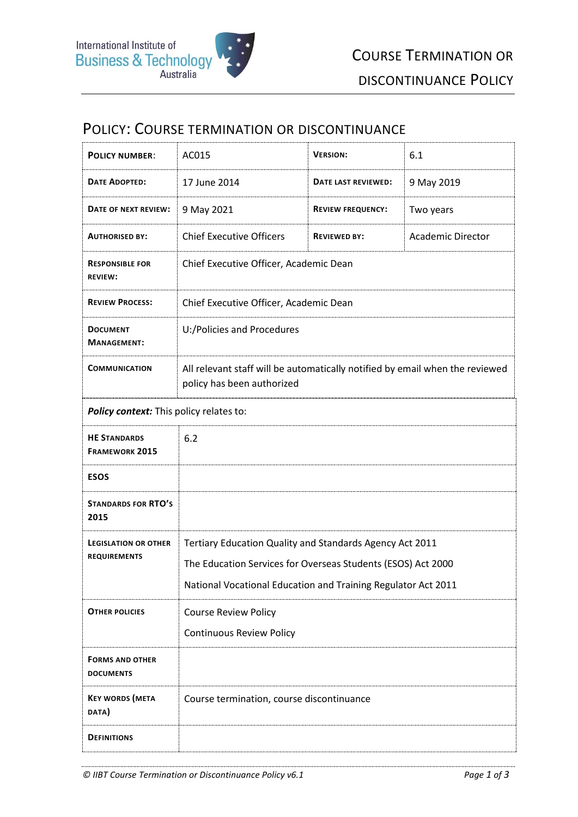## POLICY: COURSE TERMINATION OR DISCONTINUANCE

| <b>POLICY NUMBER:</b>                              | AC015                                                                                                      | <b>VERSION:</b>          | 6.1                      |  |
|----------------------------------------------------|------------------------------------------------------------------------------------------------------------|--------------------------|--------------------------|--|
| <b>DATE ADOPTED:</b>                               | 17 June 2014                                                                                               | DATE LAST REVIEWED:      | 9 May 2019               |  |
| DATE OF NEXT REVIEW:                               | 9 May 2021                                                                                                 | <b>REVIEW FREQUENCY:</b> | Two years                |  |
| <b>AUTHORISED BY:</b>                              | <b>Chief Executive Officers</b>                                                                            | <b>REVIEWED BY:</b>      | <b>Academic Director</b> |  |
| <b>RESPONSIBLE FOR</b><br><b>REVIEW:</b>           | Chief Executive Officer, Academic Dean                                                                     |                          |                          |  |
| <b>REVIEW PROCESS:</b>                             | Chief Executive Officer, Academic Dean                                                                     |                          |                          |  |
| <b>DOCUMENT</b><br><b>MANAGEMENT:</b>              | U:/Policies and Procedures                                                                                 |                          |                          |  |
| <b>COMMUNICATION</b>                               | All relevant staff will be automatically notified by email when the reviewed<br>policy has been authorized |                          |                          |  |
| Policy context: This policy relates to:            |                                                                                                            |                          |                          |  |
| <b>HE STANDARDS</b><br><b>FRAMEWORK 2015</b>       | 6.2                                                                                                        |                          |                          |  |
| <b>ESOS</b>                                        |                                                                                                            |                          |                          |  |
| <b>STANDARDS FOR RTO'S</b><br>2015                 |                                                                                                            |                          |                          |  |
| <b>LEGISLATION OR OTHER</b><br><b>REQUIREMENTS</b> | Tertiary Education Quality and Standards Agency Act 2011                                                   |                          |                          |  |
|                                                    | The Education Services for Overseas Students (ESOS) Act 2000                                               |                          |                          |  |
|                                                    | National Vocational Education and Training Regulator Act 2011                                              |                          |                          |  |
| <b>OTHER POLICIES</b>                              | <b>Course Review Policy</b>                                                                                |                          |                          |  |
|                                                    | <b>Continuous Review Policy</b>                                                                            |                          |                          |  |
| <b>FORMS AND OTHER</b><br><b>DOCUMENTS</b>         |                                                                                                            |                          |                          |  |
| <b>KEY WORDS (META</b><br>DATA)                    | Course termination, course discontinuance                                                                  |                          |                          |  |
| <b>DEFINITIONS</b>                                 |                                                                                                            |                          |                          |  |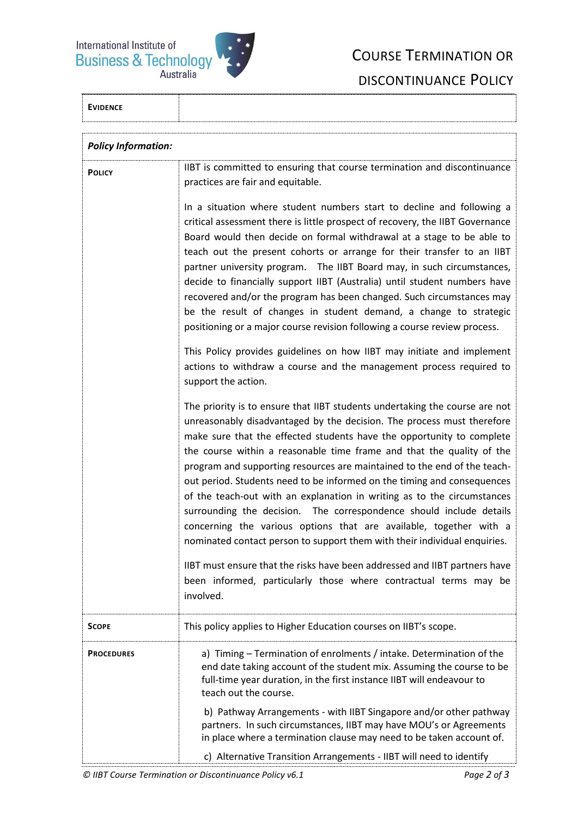International Institute of **Business & Technology** 

**EVIDENCE**



## COURSE TERMINATION OR DISCONTINUANCE POLICY

| <b>Policy Information:</b> |                                                                                                                                                                                                                                                                                                                                                                                                                                                                                                                                                                                                                                                                                                                                                                                                                                                                                                                                    |
|----------------------------|------------------------------------------------------------------------------------------------------------------------------------------------------------------------------------------------------------------------------------------------------------------------------------------------------------------------------------------------------------------------------------------------------------------------------------------------------------------------------------------------------------------------------------------------------------------------------------------------------------------------------------------------------------------------------------------------------------------------------------------------------------------------------------------------------------------------------------------------------------------------------------------------------------------------------------|
| <b>POLICY</b>              | IIBT is committed to ensuring that course termination and discontinuance<br>practices are fair and equitable.                                                                                                                                                                                                                                                                                                                                                                                                                                                                                                                                                                                                                                                                                                                                                                                                                      |
|                            | In a situation where student numbers start to decline and following a<br>critical assessment there is little prospect of recovery, the IIBT Governance<br>Board would then decide on formal withdrawal at a stage to be able to<br>teach out the present cohorts or arrange for their transfer to an IIBT<br>partner university program. The IIBT Board may, in such circumstances,<br>decide to financially support IIBT (Australia) until student numbers have<br>recovered and/or the program has been changed. Such circumstances may<br>be the result of changes in student demand, a change to strategic<br>positioning or a major course revision following a course review process.                                                                                                                                                                                                                                        |
|                            | This Policy provides guidelines on how IIBT may initiate and implement<br>actions to withdraw a course and the management process required to<br>support the action.                                                                                                                                                                                                                                                                                                                                                                                                                                                                                                                                                                                                                                                                                                                                                               |
|                            | The priority is to ensure that IIBT students undertaking the course are not<br>unreasonably disadvantaged by the decision. The process must therefore<br>make sure that the effected students have the opportunity to complete<br>the course within a reasonable time frame and that the quality of the<br>program and supporting resources are maintained to the end of the teach-<br>out period. Students need to be informed on the timing and consequences<br>of the teach-out with an explanation in writing as to the circumstances<br>surrounding the decision. The correspondence should include details<br>concerning the various options that are available, together with a<br>nominated contact person to support them with their individual enquiries.<br>IIBT must ensure that the risks have been addressed and IIBT partners have<br>been informed, particularly those where contractual terms may be<br>involved. |
| <b>SCOPE</b>               | This policy applies to Higher Education courses on IIBT's scope.                                                                                                                                                                                                                                                                                                                                                                                                                                                                                                                                                                                                                                                                                                                                                                                                                                                                   |
| <b>PROCEDURES</b>          | a) Timing – Termination of enrolments / intake. Determination of the<br>end date taking account of the student mix. Assuming the course to be<br>full-time year duration, in the first instance IIBT will endeavour to<br>teach out the course.<br>b) Pathway Arrangements - with IIBT Singapore and/or other pathway<br>partners. In such circumstances, IIBT may have MOU's or Agreements<br>in place where a termination clause may need to be taken account of.                                                                                                                                                                                                                                                                                                                                                                                                                                                                |
|                            | c) Alternative Transition Arrangements - IIBT will need to identify                                                                                                                                                                                                                                                                                                                                                                                                                                                                                                                                                                                                                                                                                                                                                                                                                                                                |